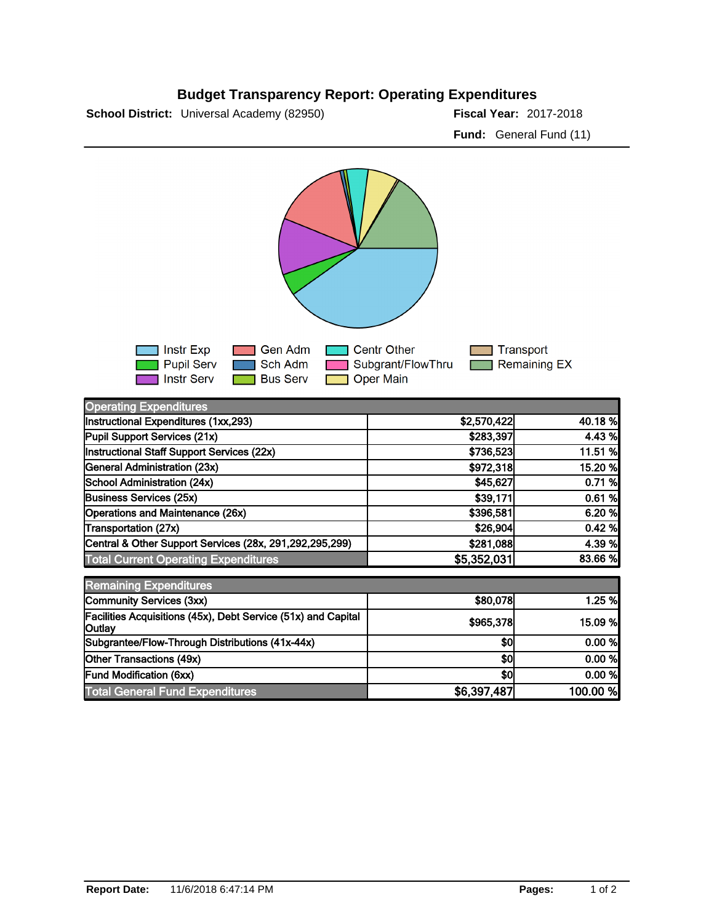## **Budget Transparency Report: Operating Expenditures**

**School District:** Universal Academy (82950) **2018 12: 2017-2018 Fiscal Year:** 2017-2018

**Fund:** General Fund (11)



| <b>Operating Expenditures</b>                                                  |             |          |
|--------------------------------------------------------------------------------|-------------|----------|
| Instructional Expenditures (1xx,293)                                           | \$2,570,422 | 40.18 %  |
| Pupil Support Services (21x)                                                   | \$283,397   | 4.43 %   |
| Instructional Staff Support Services (22x)                                     | \$736,523   | 11.51 %  |
| General Administration (23x)                                                   | \$972,318   | 15.20 %  |
| School Administration (24x)                                                    | \$45,627    | 0.71%    |
| <b>Business Services (25x)</b>                                                 | \$39,171    | 0.61%    |
| Operations and Maintenance (26x)                                               | \$396,581   | 6.20%    |
| Transportation (27x)                                                           | \$26,904    | 0.42%    |
| Central & Other Support Services (28x, 291,292,295,299)                        | \$281,088   | 4.39 %   |
| <b>Total Current Operating Expenditures</b>                                    | \$5,352,031 | 83.66 %  |
| <b>Remaining Expenditures</b>                                                  |             |          |
| Community Services (3xx)                                                       | \$80,078    | 1.25 %   |
| Facilities Acquisitions (45x), Debt Service (51x) and Capital<br><b>Outlay</b> | \$965,378   | 15.09 %  |
| Subgrantee/Flow-Through Distributions (41x-44x)                                | \$0         | 0.00 %   |
| Other Transactions (49x)                                                       | \$0         | 0.00 %   |
| Fund Modification (6xx)                                                        | \$0         | 0.00 %   |
| <b>Total General Fund Expenditures</b>                                         | \$6,397,487 | 100.00 % |